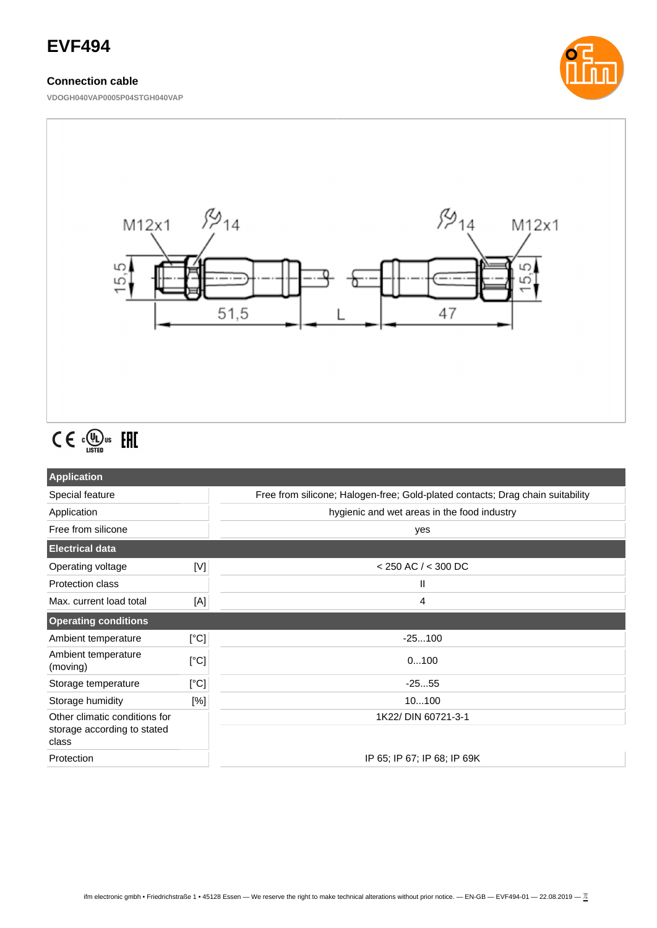# **EVF494**

## **Connection cable**

**VDOGH040VAP0005P04STGH040VAP**





# $C \in \mathbb{C}^{\mathbb{Q}}_{\text{LISTED}}$  FHI

| <b>Application</b>                                                    |      |                                                                                |  |
|-----------------------------------------------------------------------|------|--------------------------------------------------------------------------------|--|
| Special feature                                                       |      | Free from silicone; Halogen-free; Gold-plated contacts; Drag chain suitability |  |
| Application                                                           |      | hygienic and wet areas in the food industry                                    |  |
| Free from silicone                                                    |      | yes                                                                            |  |
| <b>Electrical data</b>                                                |      |                                                                                |  |
| Operating voltage                                                     | [V]  | $<$ 250 AC / $<$ 300 DC                                                        |  |
| <b>Protection class</b>                                               |      | Ш                                                                              |  |
| Max. current load total                                               | [A]  | 4                                                                              |  |
| <b>Operating conditions</b>                                           |      |                                                                                |  |
| Ambient temperature                                                   | [°C] | $-25100$                                                                       |  |
| Ambient temperature<br>(moving)                                       | [°C] | 0100                                                                           |  |
| Storage temperature                                                   | [°C] | $-2555$                                                                        |  |
| Storage humidity                                                      | [%]  | 10100                                                                          |  |
| Other climatic conditions for<br>storage according to stated<br>class |      | 1K22/ DIN 60721-3-1                                                            |  |
| Protection                                                            |      | IP 65; IP 67; IP 68; IP 69K                                                    |  |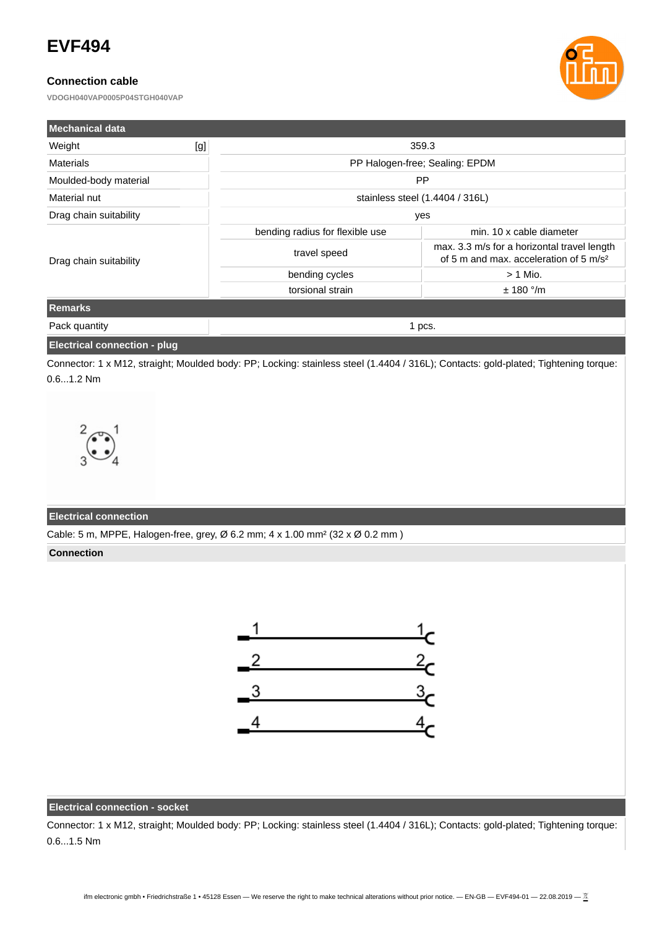# **EVF494**

## **Connection cable**

**VDOGH040VAP0005P04STGH040VAP**



| <b>Mechanical data</b> |     |                                 |                                                                                                   |  |
|------------------------|-----|---------------------------------|---------------------------------------------------------------------------------------------------|--|
| Weight                 | [g] | 359.3                           |                                                                                                   |  |
| Materials              |     | PP Halogen-free; Sealing: EPDM  |                                                                                                   |  |
| Moulded-body material  |     | <b>PP</b>                       |                                                                                                   |  |
| Material nut           |     | stainless steel (1.4404 / 316L) |                                                                                                   |  |
| Drag chain suitability |     | yes                             |                                                                                                   |  |
| Drag chain suitability |     | bending radius for flexible use | min. 10 x cable diameter                                                                          |  |
|                        |     | travel speed                    | max. 3.3 m/s for a horizontal travel length<br>of 5 m and max, acceleration of 5 m/s <sup>2</sup> |  |
|                        |     | bending cycles                  | $> 1$ Mio.                                                                                        |  |
|                        |     | torsional strain                | $± 180$ °/m                                                                                       |  |
| <b>Remarks</b>         |     |                                 |                                                                                                   |  |
| Pack quantity          |     | 1 pcs.                          |                                                                                                   |  |

## **Electrical connection - plug**

Connector: 1 x M12, straight; Moulded body: PP; Locking: stainless steel (1.4404 / 316L); Contacts: gold-plated; Tightening torque: 0.6...1.2 Nm



#### **Electrical connection**

Cable: 5 m, MPPE, Halogen-free, grey, Ø 6.2 mm; 4 x 1.00 mm² (32 x Ø 0.2 mm )

#### **Connection**



#### **Electrical connection - socket**

Connector: 1 x M12, straight; Moulded body: PP; Locking: stainless steel (1.4404 / 316L); Contacts: gold-plated; Tightening torque: 0.6...1.5 Nm